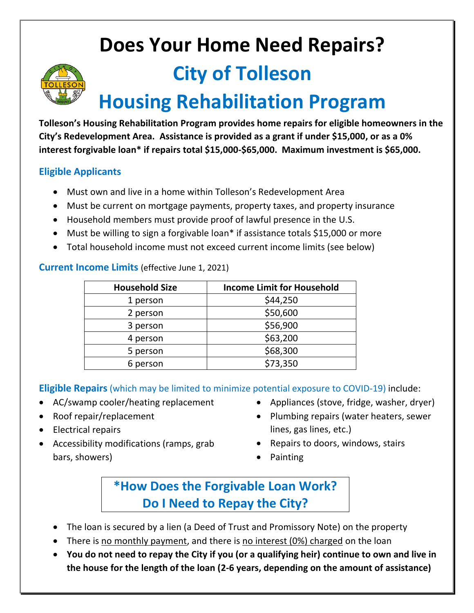# **Does Your Home Need Repairs?**



# **City of Tolleson**

# **Housing Rehabilitation Program**

**Tolleson's Housing Rehabilitation Program provides home repairs for eligible homeowners in the City's Redevelopment Area. Assistance is provided as a grant if under \$15,000, or as a 0% interest forgivable loan\* if repairs total \$15,000-\$65,000. Maximum investment is \$65,000.**

#### **Eligible Applicants**

- Must own and live in a home within Tolleson's Redevelopment Area
- Must be current on mortgage payments, property taxes, and property insurance
- Household members must provide proof of lawful presence in the U.S.
- Must be willing to sign a forgivable loan\* if assistance totals \$15,000 or more
- Total household income must not exceed current income limits (see below)

#### **Current Income Limits** (effective June 1, 2021)

| <b>Household Size</b> | <b>Income Limit for Household</b> |
|-----------------------|-----------------------------------|
| 1 person              | \$44,250                          |
| 2 person              | \$50,600                          |
| 3 person              | \$56,900                          |
| 4 person              | \$63,200                          |
| 5 person              | \$68,300                          |
| 6 person              | \$73,350                          |

**Eligible Repairs** (which may be limited to minimize potential exposure to COVID-19) include:

- AC/swamp cooler/heating replacement
- Roof repair/replacement
- Electrical repairs
- Accessibility modifications (ramps, grab bars, showers)
- Appliances (stove, fridge, washer, dryer)
- Plumbing repairs (water heaters, sewer lines, gas lines, etc.)
- Repairs to doors, windows, stairs
- Painting

### **\*How Does the Forgivable Loan Work? Do I Need to Repay the City?**

- The loan is secured by a lien (a Deed of Trust and Promissory Note) on the property
- There is no monthly payment, and there is no interest (0%) charged on the loan
- **You do not need to repay the City if you (or a qualifying heir) continue to own and live in the house for the length of the loan (2-6 years, depending on the amount of assistance)**